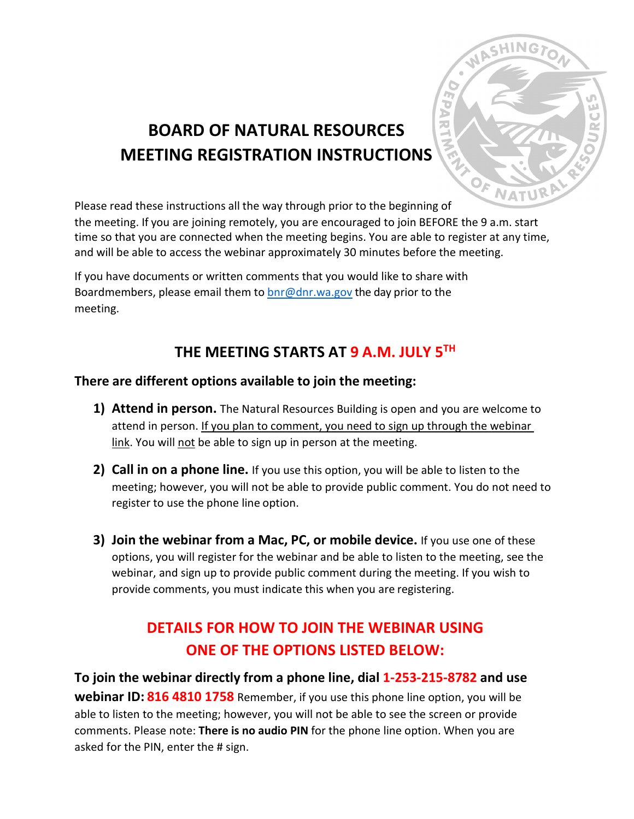

# **BOARD OF NATURAL RESOURCES MEETING REGISTRATION INSTRUCTIONS**

Please read these instructions all the way through prior to the beginning of

the meeting. If you are joining remotely, you are encouraged to join BEFORE the 9 a.m. start time so that you are connected when the meeting begins. You are able to register at any time, and will be able to access the webinar approximately 30 minutes before the meeting.

If you have documents or written comments that you would like to share with Boardmembers, please email them to  $\frac{b}{c}$  on r.wa.gov the day prior to the meeting.

### **THE MEETING STARTS AT 9 A.M. JULY 5TH**

### **There are different options available to join the meeting:**

- **1) Attend in person.** The Natural Resources Building is open and you are welcome to attend in person. If you plan to comment, you need to sign up through the webinar link. You will not be able to sign up in person at the meeting.
- **2) Call in on a phone line.** If you use this option, you will be able to listen to the meeting; however, you will not be able to provide public comment. You do not need to register to use the phone line option.
- **3) Join the webinar from a Mac, PC, or mobile device.** If you use one of these options, you will register for the webinar and be able to listen to the meeting, see the webinar, and sign up to provide public comment during the meeting. If you wish to provide comments, you must indicate this when you are registering.

## **DETAILS FOR HOW TO JOIN THE WEBINAR USING ONE OF THE OPTIONS LISTED BELOW:**

**To join the webinar directly from a phone line, dial 1-253-215-8782 and use webinar ID: 816 4810 1758** Remember, if you use this phone line option, you will be able to listen to the meeting; however, you will not be able to see the screen or provide comments. Please note: **There is no audio PIN** for the phone line option. When you are asked for the PIN, enter the # sign.